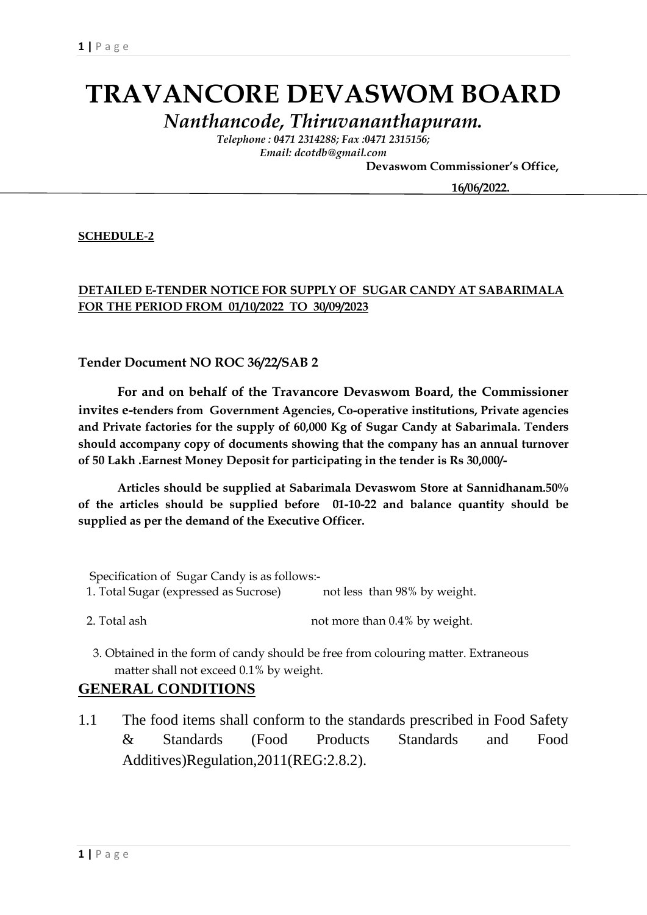# **TRAVANCORE DEVASWOM BOARD**

*Nanthancode, Thiruvananthapuram.*

*Telephone : 0471 2314288; Fax :0471 2315156; Email: dcotdb@gmail.com*

 **Devaswom Commissioner's Office,**

 **16/06/2022.**

#### **SCHEDULE-2**

#### **DETAILED E-TENDER NOTICE FOR SUPPLY OF SUGAR CANDY AT SABARIMALA FOR THE PERIOD FROM 01/10/2022 TO 30/09/2023**

#### **Tender Document NO ROC 36/22/SAB 2**

**For and on behalf of the Travancore Devaswom Board, the Commissioner invites e-tenders from Government Agencies, Co-operative institutions, Private agencies and Private factories for the supply of 60,000 Kg of Sugar Candy at Sabarimala. Tenders should accompany copy of documents showing that the company has an annual turnover of 50 Lakh .Earnest Money Deposit for participating in the tender is Rs 30,000/-**

**Articles should be supplied at Sabarimala Devaswom Store at Sannidhanam.50% of the articles should be supplied before 01-10-22 and balance quantity should be supplied as per the demand of the Executive Officer.**

 Specification of Sugar Candy is as follows:- 1. Total Sugar (expressed as Sucrose) not less than 98% by weight.

- 2. Total ash not more than  $0.4\%$  by weight.
- 3. Obtained in the form of candy should be free from colouring matter. Extraneous matter shall not exceed 0.1% by weight.

#### **GENERAL CONDITIONS**

1.1 The food items shall conform to the standards prescribed in Food Safety & Standards (Food Products Standards and Food Additives)Regulation,2011(REG:2.8.2).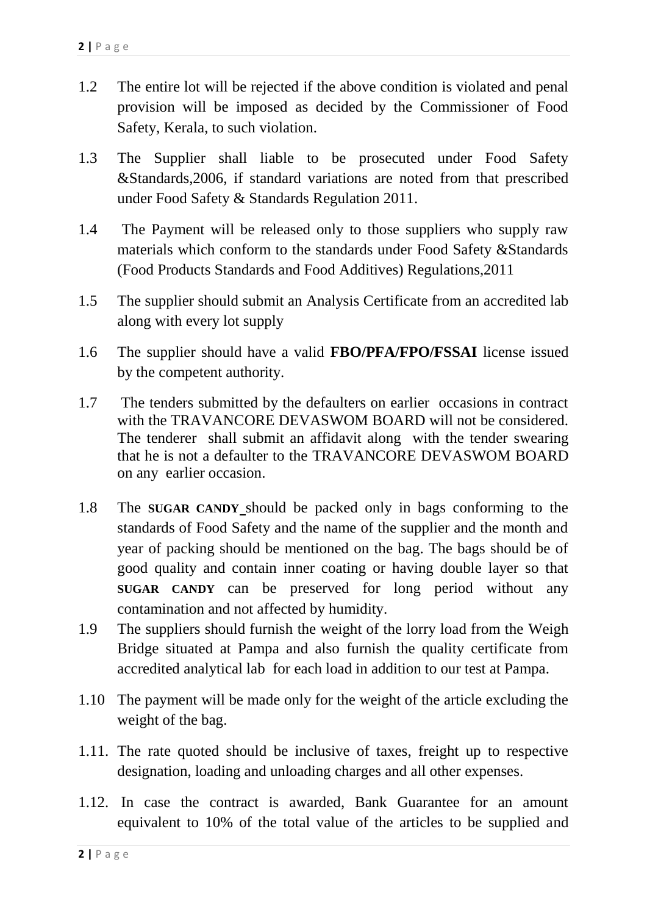- 1.2 The entire lot will be rejected if the above condition is violated and penal provision will be imposed as decided by the Commissioner of Food Safety, Kerala, to such violation.
- 1.3 The Supplier shall liable to be prosecuted under Food Safety &Standards,2006, if standard variations are noted from that prescribed under Food Safety & Standards Regulation 2011.
- 1.4 The Payment will be released only to those suppliers who supply raw materials which conform to the standards under Food Safety &Standards (Food Products Standards and Food Additives) Regulations,2011
- 1.5 The supplier should submit an Analysis Certificate from an accredited lab along with every lot supply
- 1.6 The supplier should have a valid **FBO/PFA/FPO/FSSAI** license issued by the competent authority.
- 1.7 The tenders submitted by the defaulters on earlier occasions in contract with the TRAVANCORE DEVASWOM BOARD will not be considered. The tenderer shall submit an affidavit along with the tender swearing that he is not a defaulter to the TRAVANCORE DEVASWOM BOARD on any earlier occasion.
- 1.8 The **SUGAR CANDY** should be packed only in bags conforming to the standards of Food Safety and the name of the supplier and the month and year of packing should be mentioned on the bag. The bags should be of good quality and contain inner coating or having double layer so that **SUGAR CANDY** can be preserved for long period without any contamination and not affected by humidity.
- 1.9 The suppliers should furnish the weight of the lorry load from the Weigh Bridge situated at Pampa and also furnish the quality certificate from accredited analytical lab for each load in addition to our test at Pampa.
- 1.10 The payment will be made only for the weight of the article excluding the weight of the bag.
- 1.11. The rate quoted should be inclusive of taxes, freight up to respective designation, loading and unloading charges and all other expenses.
- 1.12. In case the contract is awarded, Bank Guarantee for an amount equivalent to 10% of the total value of the articles to be supplied and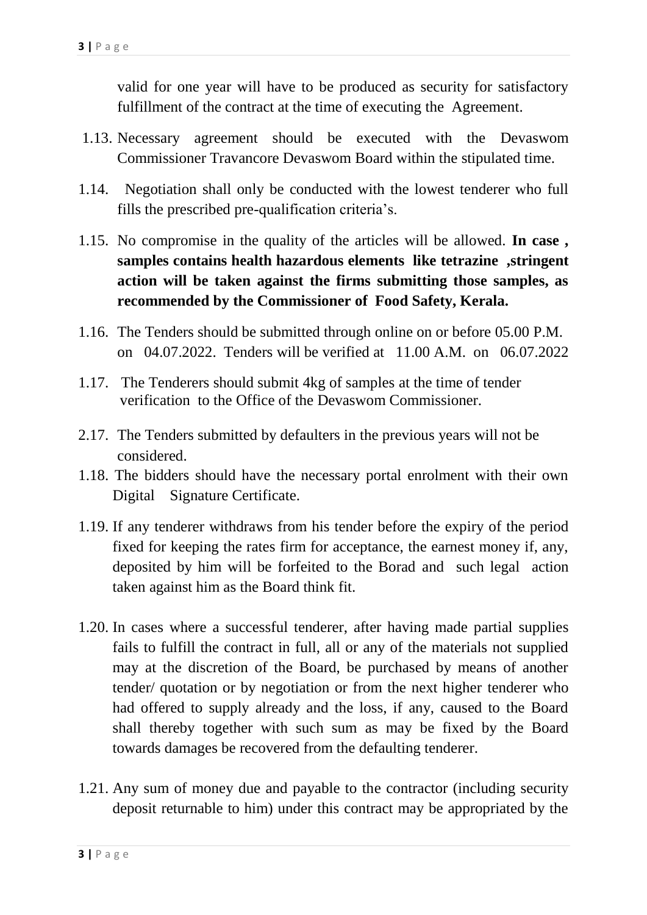valid for one year will have to be produced as security for satisfactory fulfillment of the contract at the time of executing the Agreement.

- 1.13. Necessary agreement should be executed with the Devaswom Commissioner Travancore Devaswom Board within the stipulated time.
- 1.14. Negotiation shall only be conducted with the lowest tenderer who full fills the prescribed pre-qualification criteria's.
- 1.15. No compromise in the quality of the articles will be allowed. **In case , samples contains health hazardous elements like tetrazine ,stringent action will be taken against the firms submitting those samples, as recommended by the Commissioner of Food Safety, Kerala.**
- 1.16. The Tenders should be submitted through online on or before 05.00 P.M. on 04.07.2022. Tenders will be verified at 11.00 A.M. on 06.07.2022
- 1.17. The Tenderers should submit 4kg of samples at the time of tender verification to the Office of the Devaswom Commissioner.
- 2.17. The Tenders submitted by defaulters in the previous years will not be considered.
- 1.18. The bidders should have the necessary portal enrolment with their own Digital Signature Certificate.
- 1.19. If any tenderer withdraws from his tender before the expiry of the period fixed for keeping the rates firm for acceptance, the earnest money if, any, deposited by him will be forfeited to the Borad and such legal action taken against him as the Board think fit.
- 1.20. In cases where a successful tenderer, after having made partial supplies fails to fulfill the contract in full, all or any of the materials not supplied may at the discretion of the Board, be purchased by means of another tender/ quotation or by negotiation or from the next higher tenderer who had offered to supply already and the loss, if any, caused to the Board shall thereby together with such sum as may be fixed by the Board towards damages be recovered from the defaulting tenderer.
- 1.21. Any sum of money due and payable to the contractor (including security deposit returnable to him) under this contract may be appropriated by the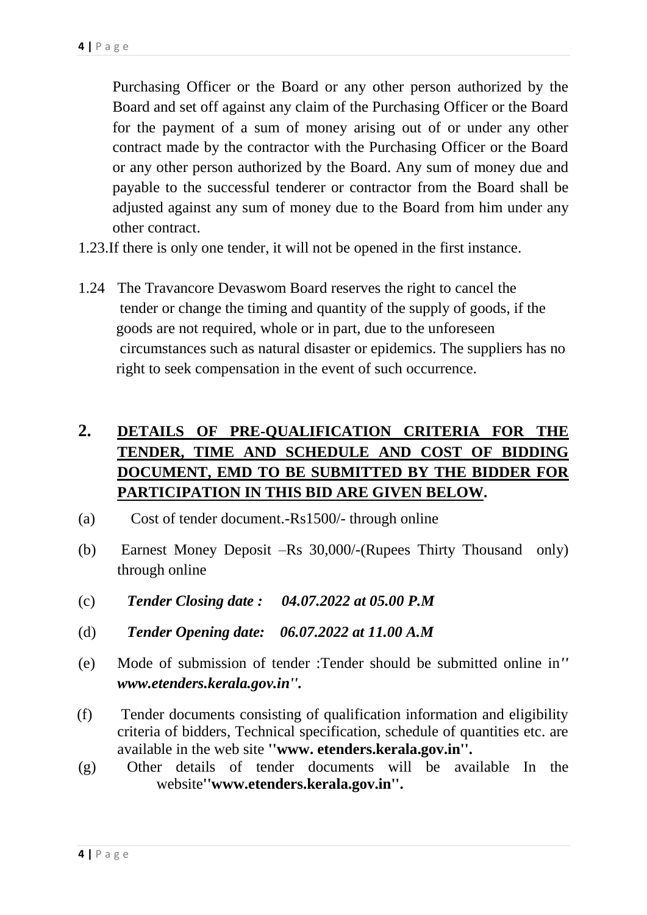Purchasing Officer or the Board or any other person authorized by the Board and set off against any claim of the Purchasing Officer or the Board for the payment of a sum of money arising out of or under any other contract made by the contractor with the Purchasing Officer or the Board or any other person authorized by the Board. Any sum of money due and payable to the successful tenderer or contractor from the Board shall be adjusted against any sum of money due to the Board from him under any other contract.

- 1.23.If there is only one tender, it will not be opened in the first instance.
- 1.24 The Travancore Devaswom Board reserves the right to cancel the tender or change the timing and quantity of the supply of goods, if the goods are not required, whole or in part, due to the unforeseen circumstances such as natural disaster or epidemics. The suppliers has no right to seek compensation in the event of such occurrence.

# **2. DETAILS OF PRE-QUALIFICATION CRITERIA FOR THE TENDER, TIME AND SCHEDULE AND COST OF BIDDING DOCUMENT, EMD TO BE SUBMITTED BY THE BIDDER FOR PARTICIPATION IN THIS BID ARE GIVEN BELOW.**

- (a) Cost of tender document.-Rs1500/- through online
- (b) Earnest Money Deposit –Rs 30,000/-(Rupees Thirty Thousand only) through online
- (c) *Tender Closing date : 04.07.2022 at 05.00 P.M*
- (d) *Tender Opening date: 06.07.2022 at 11.00 A.M*
- (e) Mode of submission of tender :Tender should be submitted online in*'' www.etenders.kerala.gov.in''.*
- (f) Tender documents consisting of qualification information and eligibility criteria of bidders, Technical specification, schedule of quantities etc. are available in the web site **''www. etenders.kerala.gov.in''.**
- (g) Other details of tender documents will be available In the website**''www.etenders.kerala.gov.in''.**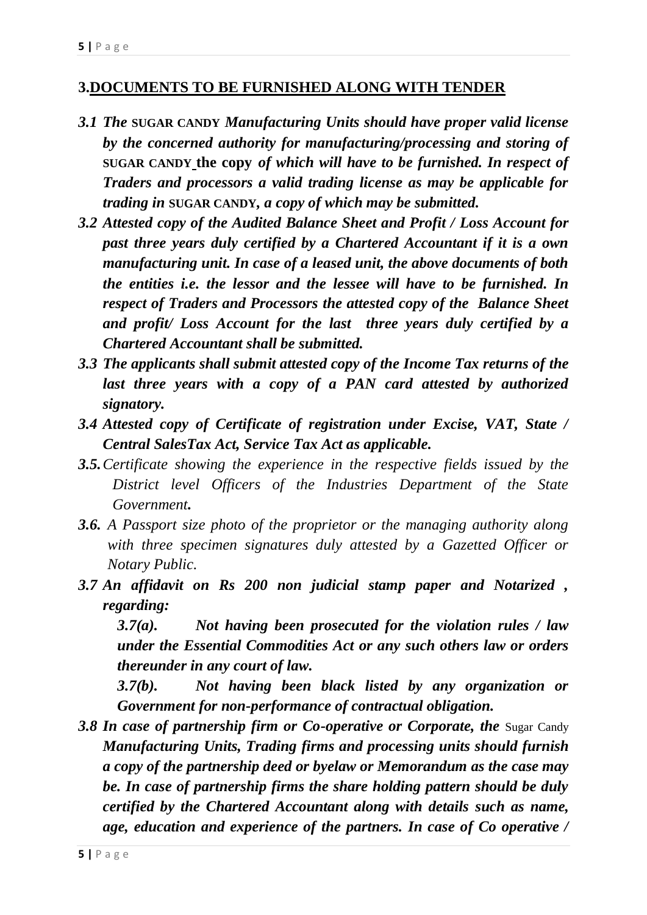### **3.DOCUMENTS TO BE FURNISHED ALONG WITH TENDER**

- *3.1 The* **SUGAR CANDY** *Manufacturing Units should have proper valid license by the concerned authority for manufacturing/processing and storing of*  **SUGAR CANDY the copy** *of which will have to be furnished. In respect of Traders and processors a valid trading license as may be applicable for trading in* **SUGAR CANDY***, a copy of which may be submitted.*
- *3.2 Attested copy of the Audited Balance Sheet and Profit / Loss Account for past three years duly certified by a Chartered Accountant if it is a own manufacturing unit. In case of a leased unit, the above documents of both the entities i.e. the lessor and the lessee will have to be furnished. In respect of Traders and Processors the attested copy of the Balance Sheet and profit/ Loss Account for the last three years duly certified by a Chartered Accountant shall be submitted.*
- *3.3 The applicants shall submit attested copy of the Income Tax returns of the*  last three years with a copy of a PAN card attested by authorized *signatory.*
- *3.4 Attested copy of Certificate of registration under Excise, VAT, State / Central SalesTax Act, Service Tax Act as applicable.*
- *3.5.Certificate showing the experience in the respective fields issued by the District level Officers of the Industries Department of the State Government.*
- *3.6. A Passport size photo of the proprietor or the managing authority along with three specimen signatures duly attested by a Gazetted Officer or Notary Public.*
- *3.7 An affidavit on Rs 200 non judicial stamp paper and Notarized , regarding:*

*3.7(a). Not having been prosecuted for the violation rules / law under the Essential Commodities Act or any such others law or orders thereunder in any court of law.*

*3.7(b). Not having been black listed by any organization or Government for non-performance of contractual obligation.*

**3.8 In case of partnership firm or Co-operative or Corporate, the Sugar Candy** *Manufacturing Units, Trading firms and processing units should furnish a copy of the partnership deed or byelaw or Memorandum as the case may be. In case of partnership firms the share holding pattern should be duly certified by the Chartered Accountant along with details such as name, age, education and experience of the partners. In case of Co operative /*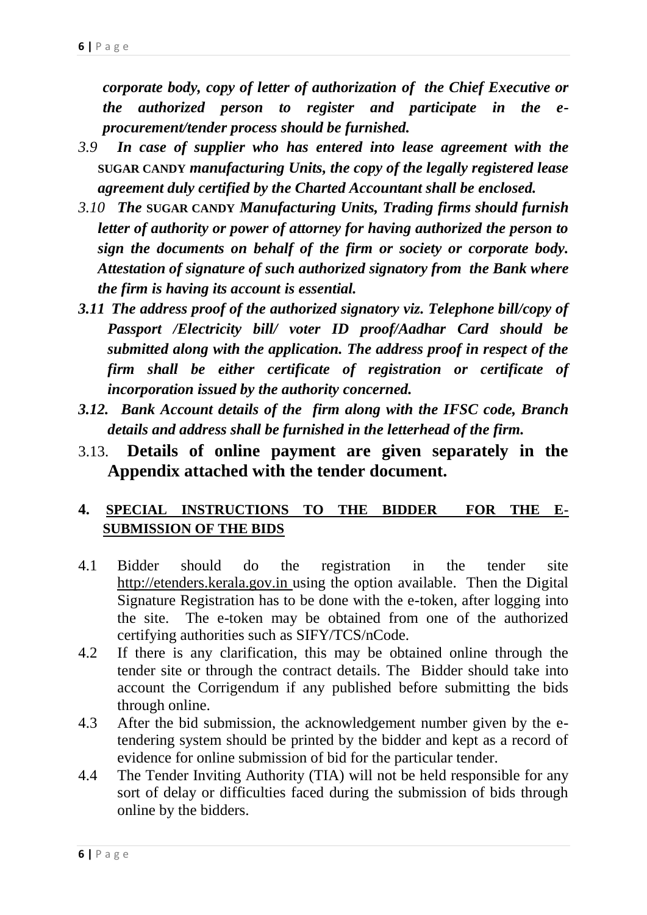*corporate body, copy of letter of authorization of the Chief Executive or the authorized person to register and participate in the eprocurement/tender process should be furnished.*

- *3.9 In case of supplier who has entered into lease agreement with the*  **SUGAR CANDY** *manufacturing Units, the copy of the legally registered lease agreement duly certified by the Charted Accountant shall be enclosed.*
- *3.10 The* **SUGAR CANDY** *Manufacturing Units, Trading firms should furnish letter of authority or power of attorney for having authorized the person to sign the documents on behalf of the firm or society or corporate body. Attestation of signature of such authorized signatory from the Bank where the firm is having its account is essential.*
- *3.11 The address proof of the authorized signatory viz. Telephone bill/copy of Passport /Electricity bill/ voter ID proof/Aadhar Card should be submitted along with the application. The address proof in respect of the firm shall be either certificate of registration or certificate of incorporation issued by the authority concerned.*
- *3.12. Bank Account details of the firm along with the IFSC code, Branch details and address shall be furnished in the letterhead of the firm.*
- 3.13. **Details of online payment are given separately in the Appendix attached with the tender document.**

## **4. SPECIAL INSTRUCTIONS TO THE BIDDER FOR THE E-SUBMISSION OF THE BIDS**

- 4.1 Bidder should do the registration in the tender site http://etenders.kerala.gov.in using the option available. Then the Digital Signature Registration has to be done with the e-token, after logging into the site. The e-token may be obtained from one of the authorized certifying authorities such as SIFY/TCS/nCode.
- 4.2 If there is any clarification, this may be obtained online through the tender site or through the contract details. The Bidder should take into account the Corrigendum if any published before submitting the bids through online.
- 4.3 After the bid submission, the acknowledgement number given by the etendering system should be printed by the bidder and kept as a record of evidence for online submission of bid for the particular tender.
- 4.4 The Tender Inviting Authority (TIA) will not be held responsible for any sort of delay or difficulties faced during the submission of bids through online by the bidders.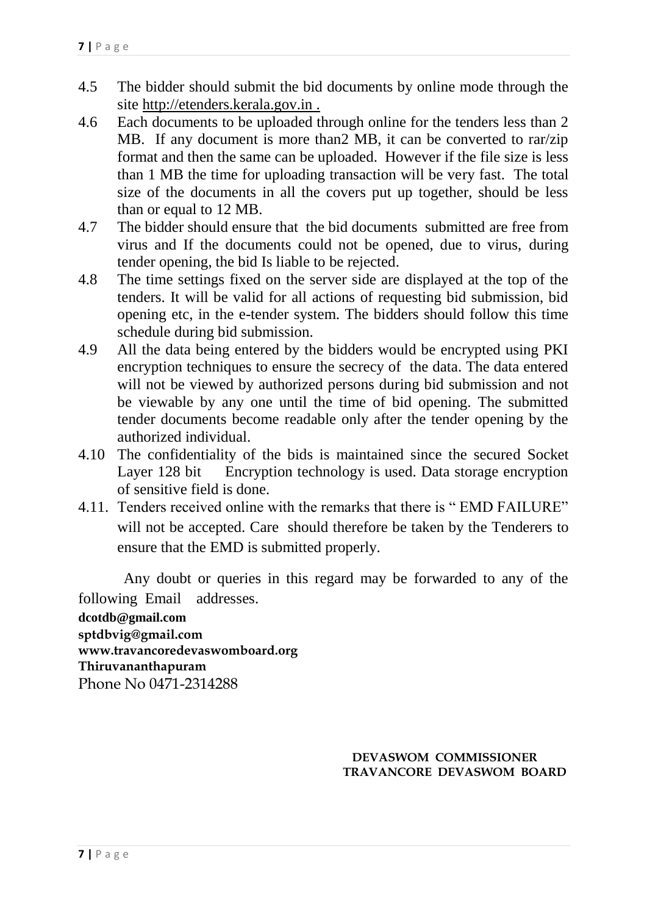- 4.5 The bidder should submit the bid documents by online mode through the site http://etenders.kerala.gov.in .
- 4.6 Each documents to be uploaded through online for the tenders less than 2 MB. If any document is more than2 MB, it can be converted to rar/zip format and then the same can be uploaded. However if the file size is less than 1 MB the time for uploading transaction will be very fast. The total size of the documents in all the covers put up together, should be less than or equal to 12 MB.
- 4.7 The bidder should ensure that the bid documents submitted are free from virus and If the documents could not be opened, due to virus, during tender opening, the bid Is liable to be rejected.
- 4.8 The time settings fixed on the server side are displayed at the top of the tenders. It will be valid for all actions of requesting bid submission, bid opening etc, in the e-tender system. The bidders should follow this time schedule during bid submission.
- 4.9 All the data being entered by the bidders would be encrypted using PKI encryption techniques to ensure the secrecy of the data. The data entered will not be viewed by authorized persons during bid submission and not be viewable by any one until the time of bid opening. The submitted tender documents become readable only after the tender opening by the authorized individual.
- 4.10 The confidentiality of the bids is maintained since the secured Socket Layer 128 bit Encryption technology is used. Data storage encryption of sensitive field is done.
- 4.11. Tenders received online with the remarks that there is " EMD FAILURE" will not be accepted. Care should therefore be taken by the Tenderers to ensure that the EMD is submitted properly.

 Any doubt or queries in this regard may be forwarded to any of the following Email addresses. **dcotdb@gmail.com sptdbvig@gmail.com www.travancoredevaswomboard.org Thiruvananthapuram** Phone No 0471-2314288

> **DEVASWOM COMMISSIONER TRAVANCORE DEVASWOM BOARD**